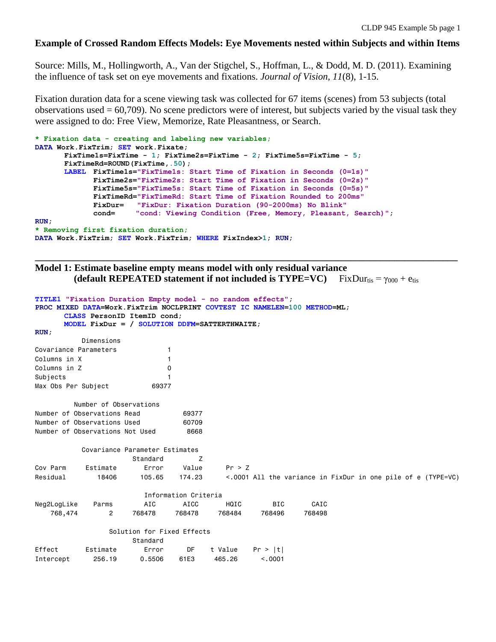## **Example of Crossed Random Effects Models: Eye Movements nested within Subjects and within Items**

Source: Mills, M., Hollingworth, A., Van der Stigchel, S., Hoffman, L., & Dodd, M. D. (2011). Examining the influence of task set on eye movements and fixations. *Journal of Vision, 11*(8), 1-15.

Fixation duration data for a scene viewing task was collected for 67 items (scenes) from 53 subjects (total observations used  $= 60,709$ ). No scene predictors were of interest, but subjects varied by the visual task they were assigned to do: Free View, Memorize, Rate Pleasantness, or Search.

```
* Fixation data - creating and labeling new variables;
DATA Work.FixTrim; SET work.Fixate;
      FixTime1s=FixTime - 1; FixTime2s=FixTime - 2; FixTime5s=FixTime - 5;
      FixTimeRd=ROUND(FixTime,.50);
      LABEL FixTime1s="FixTime1s: Start Time of Fixation in Seconds (0=1s)"
             FixTime2s="FixTime2s: Start Time of Fixation in Seconds (0=2s)"
             FixTime5s="FixTime5s: Start Time of Fixation in Seconds (0=5s)"
             FixTimeRd="FixTimeRd: Start Time of Fixation Rounded to 200ms"
             FixDur= "FixDur: Fixation Duration (90-2000ms) No Blink"
             cond= "cond: Viewing Condition (Free, Memory, Pleasant, Search)";
RUN;
* Removing first fixation duration;
DATA Work.FixTrim; SET Work.FixTrim; WHERE FixIndex>1; RUN;
```
## **Model 1: Estimate baseline empty means model with only residual variance (default REPEATED statement if not included is TYPE=VC)**  $FixDur_{tis} = \gamma_{000} + e_{tis}$

**\_\_\_\_\_\_\_\_\_\_\_\_\_\_\_\_\_\_\_\_\_\_\_\_\_\_\_\_\_\_\_\_\_\_\_\_\_\_\_\_\_\_\_\_\_\_\_\_\_\_\_\_\_\_\_\_\_\_\_\_\_\_\_\_\_\_\_\_\_\_\_\_\_\_\_\_\_\_\_\_\_\_\_\_\_\_\_**

```
TITLE1 "Fixation Duration Empty model - no random effects";
PROC MIXED DATA=Work.FixTrim NOCLPRINT COVTEST IC NAMELEN=100 METHOD=ML;
     CLASS PersonID ItemID cond;
     MODEL FixDur = / SOLUTION DDFM=SATTERTHWAITE;
RUN;
         Dimensions
Covariance Parameters 1
Columns in X 1
Columns in Z 0
Subjects 1
Max Obs Per Subject 69377
        Number of Observations
Number of Observations Read 69377
Number of Observations Used 60709
Number of Observations Not Used 8668
          Covariance Parameter Estimates
                  Standard Z
Cov Parm Estimate Error Value Pr > Z
Residual 18406 105.65 174.23 <.0001 All the variance in FixDur in one pile of e (TYPE=VC)
                      Information Criteria
Neg2LogLike Parms AIC AICC HQIC BIC CAIC
 768,474 2 768478 768478 768484 768496 768498
               Solution for Fixed Effects
                   Standard
Effect Estimate Error DF t Value Pr > |t|
Intercept 256.19 0.5506 61E3 465.26 <.0001
```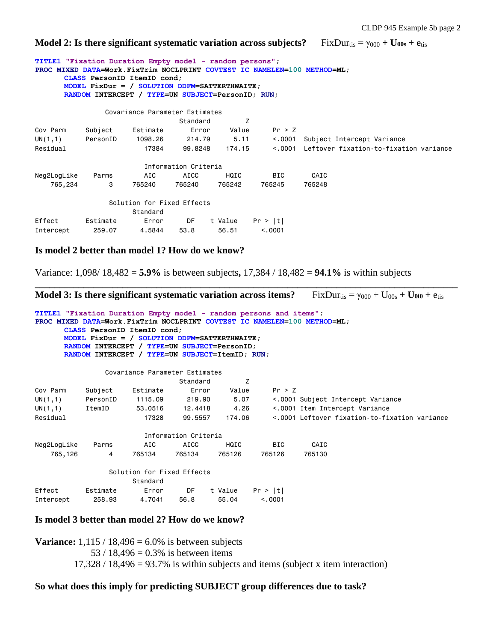**Model 2: Is there significant systematic variation across subjects? FixDurtis =**  $\gamma_{000}$  **+ U<sub>00s</sub> + etis** 

**TITLE1 "Fixation Duration Empty model - random persons"; PROC MIXED DATA=Work.FixTrim NOCLPRINT COVTEST IC NAMELEN=100 METHOD=ML; CLASS PersonID ItemID cond; MODEL FixDur = / SOLUTION DDFM=SATTERTHWAITE; RANDOM INTERCEPT / TYPE=UN SUBJECT=PersonID; RUN;** Covariance Parameter Estimates Standard Z Cov Parm Subject Estimate Error Value Pr > Z UN(1,1) PersonID 1098.26 214.79 5.11 <.0001 Subject Intercept Variance Residual 17384 99.8248 174.15 <.0001 Leftover fixation-to-fixation variance Information Criteria Neg2LogLike Parms AIC AICC HQIC BIC CAIC 765,234 3 765240 765240 765242 765245 765248 Solution for Fixed Effects Standard Effect Estimate Error DF t Value Pr > |t| Intercept 259.07 4.5844 53.8 56.51 <.0001

### **Is model 2 better than model 1? How do we know?**

Variance: 1,098/ 18,482 = **5.9%** is between subjects**,** 17,384 / 18,482 = **94.1%** is within subjects

**\_\_\_\_\_\_\_\_\_\_\_\_\_\_\_\_\_\_\_\_\_\_\_\_\_\_\_\_\_\_\_\_\_\_\_\_\_\_\_\_\_\_\_\_\_\_\_\_\_\_\_\_\_\_\_\_\_\_\_\_\_\_\_\_\_\_\_\_\_\_\_\_\_\_\_\_\_\_\_\_\_\_\_\_\_\_\_ Model 3: Is there significant systematic variation across items?** FixDurtis =  $\gamma_{000} + \text{U}_{00s} + \text{U}_{0i0} + \text{e}_{\text{tis}}$ **TITLE1 "Fixation Duration Empty model - random persons and items"; PROC MIXED DATA=Work.FixTrim NOCLPRINT COVTEST IC NAMELEN=100 METHOD=ML; CLASS PersonID ItemID cond; MODEL FixDur = / SOLUTION DDFM=SATTERTHWAITE; RANDOM INTERCEPT / TYPE=UN SUBJECT=PersonID; RANDOM INTERCEPT / TYPE=UN SUBJECT=ItemID; RUN;** Covariance Parameter Estimates Standard Z Cov Parm Subject Estimate Error Value Pr > Z UN(1,1) PersonID 1115.09 219.90 5.07 <.0001 Subject Intercept Variance UN(1,1) ItemID 53.0516 12.4418 4.26 <.0001 Item Intercept Variance Residual 17328 99.5557 174.06 <0001 Leftover fixation-to-fixation variance Information Criteria Neg2LogLike Parms AIC AICC HQIC BIC CAIC 765,126 4 765134 765134 765126 765126 765130 Solution for Fixed Effects Standard Effect Estimate Error DF t Value Pr > |t| Intercept 258.93 4.7041 56.8 55.04 <.0001

#### **Is model 3 better than model 2? How do we know?**

**Variance:**  $1,115 / 18,496 = 6.0\%$  is between subjects 53 / 18,496 =  $0.3\%$  is between items  $17,328 / 18,496 = 93.7\%$  is within subjects and items (subject x item interaction)

#### **So what does this imply for predicting SUBJECT group differences due to task?**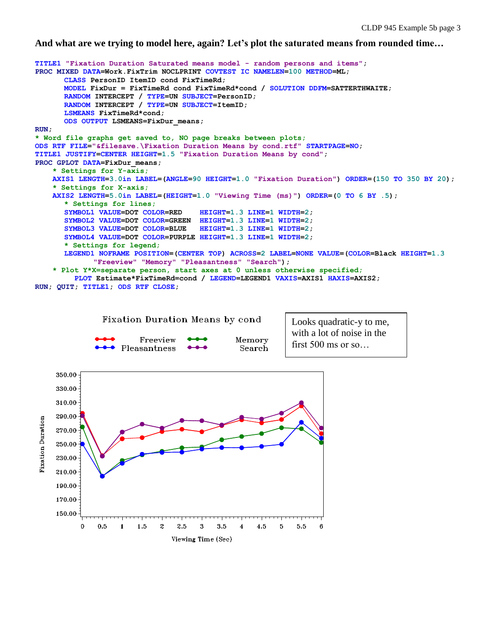**And what are we trying to model here, again? Let's plot the saturated means from rounded time…**



210.00 190.00 170.00 150.00

 $0.5$ 

 $\blacksquare$ 

 $\Omega$ 

1.5

 $\boldsymbol{2}$ 

2.5

3.5

3

Viewing Time (Sec)

4.5

5

 $\overline{\mathbf{4}}$ 

 $5.5\,$ 

 $\boldsymbol{\kappa}$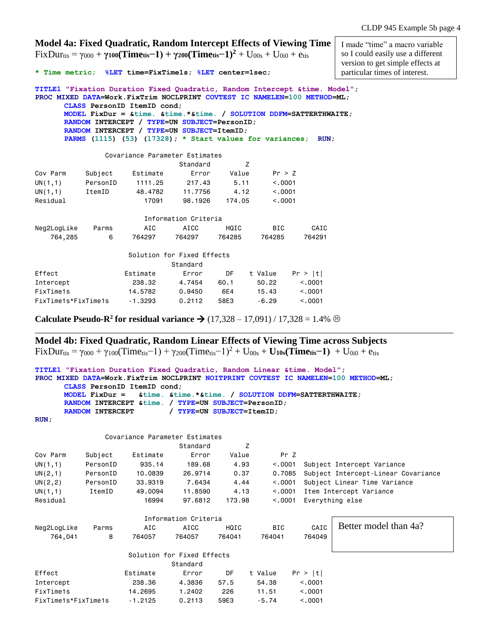|                     | Model 4a: Fixed Quadratic, Random Intercept Effects of Viewing Time<br>$FixDurt_{is} = \gamma_{000} + \gamma_{100}$ (Time <sub>tis</sub> -1) + $\gamma_{200}$ (Time <sub>tis</sub> -1) <sup>2</sup> + U <sub>00s</sub> + U <sub>0i0</sub> + e <sub>tis</sub><br>* Time metric; %LET time=FixTime1s; %LET center=1sec; |           | I made "time" a macro variable<br>so I could easily use a different<br>version to get simple effects at<br>particular times of interest.                                                                                                                                                                                                                                                                                          |                            |         |            |         |  |
|---------------------|-----------------------------------------------------------------------------------------------------------------------------------------------------------------------------------------------------------------------------------------------------------------------------------------------------------------------|-----------|-----------------------------------------------------------------------------------------------------------------------------------------------------------------------------------------------------------------------------------------------------------------------------------------------------------------------------------------------------------------------------------------------------------------------------------|----------------------------|---------|------------|---------|--|
|                     |                                                                                                                                                                                                                                                                                                                       |           | TITLE1 "Fixation Duration Fixed Quadratic, Random Intercept & time. Model";<br>PROC MIXED DATA=Work. FixTrim NOCLPRINT COVTEST IC NAMELEN=100 METHOD=ML;<br>CLASS PersonID ItemID cond;<br>MODEL FixDur = $\&time. \&time.*\&time.$ SOLUTION DDFM=SATTERTHWAITE;<br>RANDOM INTERCEPT / TYPE=UN SUBJECT=PersonID;<br>RANDOM INTERCEPT / TYPE=UN SUBJECT=ItemID;<br>PARMS $(1115)$ $(53)$ $(17328)$ ; * Start values for variances; |                            |         |            | RUN.    |  |
|                     |                                                                                                                                                                                                                                                                                                                       |           | Covariance Parameter Estimates                                                                                                                                                                                                                                                                                                                                                                                                    |                            |         |            |         |  |
|                     |                                                                                                                                                                                                                                                                                                                       |           |                                                                                                                                                                                                                                                                                                                                                                                                                                   | Standard                   | Z       |            |         |  |
|                     | Cov Parm                                                                                                                                                                                                                                                                                                              | Subject   | Estimate                                                                                                                                                                                                                                                                                                                                                                                                                          | Error                      | Value   | Pr > Z     |         |  |
|                     | UN(1,1)                                                                                                                                                                                                                                                                                                               | PersonID  | 1111.25                                                                                                                                                                                                                                                                                                                                                                                                                           | 217.43                     | 5.11    | < 0.001    |         |  |
|                     | UN(1,1)                                                                                                                                                                                                                                                                                                               | ItemID    | 48.4782                                                                                                                                                                                                                                                                                                                                                                                                                           | 11.7756                    | 4.12    | < 0.0001   |         |  |
|                     | Residual                                                                                                                                                                                                                                                                                                              |           | 17091                                                                                                                                                                                                                                                                                                                                                                                                                             | 98,1926                    | 174.05  | < 0.0001   |         |  |
|                     |                                                                                                                                                                                                                                                                                                                       |           |                                                                                                                                                                                                                                                                                                                                                                                                                                   | Information Criteria       |         |            |         |  |
|                     | Neg2LogLike                                                                                                                                                                                                                                                                                                           | Parms     | AIC                                                                                                                                                                                                                                                                                                                                                                                                                               | <b>AICC</b>                | HQIC    | <b>BIC</b> | CAIC    |  |
|                     | 764,285                                                                                                                                                                                                                                                                                                               | 6         | 764297                                                                                                                                                                                                                                                                                                                                                                                                                            | 764297                     | 764285  | 764285     | 764291  |  |
|                     |                                                                                                                                                                                                                                                                                                                       |           |                                                                                                                                                                                                                                                                                                                                                                                                                                   | Solution for Fixed Effects |         |            |         |  |
|                     |                                                                                                                                                                                                                                                                                                                       |           |                                                                                                                                                                                                                                                                                                                                                                                                                                   | Standard                   |         |            |         |  |
|                     | Effect                                                                                                                                                                                                                                                                                                                |           | Estimate                                                                                                                                                                                                                                                                                                                                                                                                                          | Error                      | DF      | t Value    | Pr >  t |  |
|                     | Intercept                                                                                                                                                                                                                                                                                                             |           | 238.32                                                                                                                                                                                                                                                                                                                                                                                                                            | 4.7454                     | 60.1    | 50.22      | < 0.001 |  |
|                     | FixTime1s                                                                                                                                                                                                                                                                                                             |           | 14,5782                                                                                                                                                                                                                                                                                                                                                                                                                           | 0.9450                     | 6E4     | 15.43      | < 0.001 |  |
| FixTime1s*FixTime1s |                                                                                                                                                                                                                                                                                                                       | $-1.3293$ | 0.2112                                                                                                                                                                                                                                                                                                                                                                                                                            | 58E3                       | $-6.29$ | < 0.001    |         |  |

**Calculate Pseudo-R<sup>2</sup> for residual variance**  $\rightarrow$  **(17,328 – 17,091) / 17,328 = 1.4%**  $\odot$ 

# **Model 4b: Fixed Quadratic, Random Linear Effects of Viewing Time across Subjects**

 $FixDurt_{is} = \gamma_{000} + \gamma_{100}(Time_{tis}-1) + \gamma_{200}(Time_{tis}-1)^2 + U_{00s} + U_{10s}(Time_{tis}-1) + U_{0i0} + e_{tis}$ 

```
TITLE1 "Fixation Duration Fixed Quadratic, Random Linear &time. Model";
PROC MIXED DATA=Work.FixTrim NOCLPRINT NOITPRINT COVTEST IC NAMELEN=100 METHOD=ML;
      CLASS PersonID ItemID cond;
      MODEL FixDur = &time. &time.*&time. / SOLUTION DDFM=SATTERTHWAITE;
      RANDOM INTERCEPT &time. / TYPE=UN SUBJECT=PersonID;
      RANDOM INTERCEPT / TYPE=UN SUBJECT=ItemID;
RUN;
```
\_\_\_\_\_\_\_\_\_\_\_\_\_\_\_\_\_\_\_\_\_\_\_\_\_\_\_\_\_\_\_\_\_\_\_\_\_\_\_\_\_\_\_\_\_\_\_\_\_\_\_\_\_\_\_\_\_\_\_\_\_\_\_\_\_\_\_\_\_\_\_\_\_\_\_\_\_\_\_\_\_\_\_\_\_\_\_\_\_\_\_\_\_\_

|          |          |          | Covariance Parameter Estimates |        |          |                                     |
|----------|----------|----------|--------------------------------|--------|----------|-------------------------------------|
|          |          |          | Standard                       |        |          |                                     |
| Cov Parm | Subject  | Estimate | Error                          | Value  | Pr 7     |                                     |
| UN(1,1)  | PersonID | 935.14   | 189.68                         | 4.93   | < 0.0001 | Subject Intercept Variance          |
| UN(2,1)  | PersonID | 10,0839  | 26,9714                        | 0.37   | 0.7085   | Subject Intercept-Linear Covariance |
| UN(2, 2) | PersonID | 33,9319  | 7.6434                         | 4.44   | < 0.001  | Subject Linear Time Variance        |
| UN(1,1)  | ItemID   | 49.0094  | 11,8590                        | 4.13   | < 0.0001 | Item Intercept Variance             |
| Residual |          | 16994    | 97,6812                        | 173.98 | < 0.0001 | Everything else                     |

| Neg2LogLike         | Parms | AIC       | AICC                       | HQIC   | <b>BIC</b> | CAIC     | Better model than 4a? |
|---------------------|-------|-----------|----------------------------|--------|------------|----------|-----------------------|
| 764,041             | 8     | 764057    | 764057                     | 764041 | 764041     | 764049   |                       |
|                     |       |           |                            |        |            |          |                       |
|                     |       |           | Solution for Fixed Effects |        |            |          |                       |
|                     |       |           | Standard                   |        |            |          |                       |
| Effect              |       | Estimate  | Error                      | DF     | t Value    | Pr >  t  |                       |
| Intercept           |       | 238,36    | 4.3836                     | 57.5   | 54.38      | < 0.0001 |                       |
| FixTime1s           |       | 14.2695   | 1.2402                     | 226    | 11.51      | < 0.001  |                       |
| FixTime1s*FixTime1s |       | $-1.2125$ | 0.2113                     | 59E3   | $-5.74$    | < 0.001  |                       |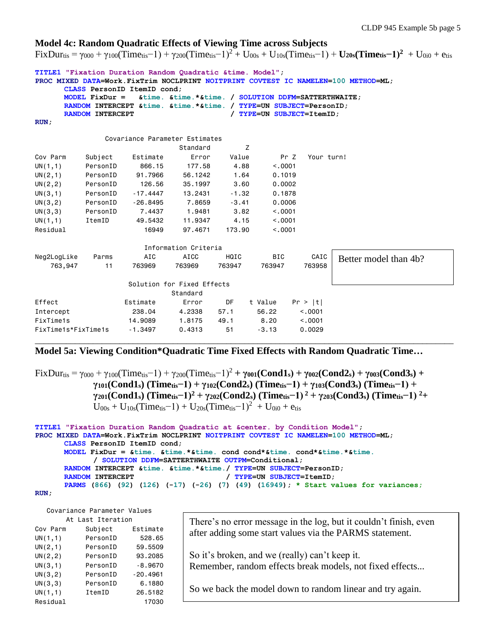#### **Model 4c: Random Quadratic Effects of Viewing Time across Subjects**

 $Fix$ Dur<sub>tis</sub> =  $\gamma_{000} + \gamma_{100}$ (Time<sub>tis</sub>-1) +  $\gamma_{200}$ (Time<sub>tis</sub>-1)<sup>2</sup> + U<sub>00s</sub> + U<sub>10s</sub>(Time<sub>tis</sub>-1) + U<sub>20s</sub>(Time<sub>tis</sub>-1)<sup>2</sup> + U<sub>0i0</sub> + e<sub>tis</sub>

**TITLE1 "Fixation Duration Random Quadratic &time. Model"; PROC MIXED DATA=Work.FixTrim NOCLPRINT NOITPRINT COVTEST IC NAMELEN=100 METHOD=ML; CLASS PersonID ItemID cond; MODEL FixDur = &time. &time.\*&time. / SOLUTION DDFM=SATTERTHWAITE; RANDOM INTERCEPT &time. &time.\*&time. / TYPE=UN SUBJECT=PersonID; RANDOM INTERCEPT** / **TYPE=UN SUBJECT=ItemID**; **RUN;** Covariance Parameter Estimates Standard Z Cov Parm Subject Estimate Error Value Pr Z Your turn! UN(1,1) PersonID 866.15 177.58 4.88 <.0001 UN(2,1) PersonID 91.7966 56.1242 1.64 0.1019 UN(2,2) PersonID 126.56 35.1997 3.60 0.0002 UN(3,1) PersonID -17.4447 13.2431 -1.32 0.1878 UN(3,2) PersonID -26.8495 7.8659 -3.41 0.0006 UN(3,3) PersonID 7.4437 1.9481 3.82 <.0001 UN(1,1) ItemID 49.5432 11.9347 4.15 <.0001 Residual 16949 97.4671 173.90 <.0001 Information Criteria Neg2LogLike Parms AIC AICC HQIC BIC CAIC 763,947 11 763969 763969 763947 763947 763958 Solution for Fixed Effects Standard Effect Estimate Error DF t Value Pr > |t| Intercept 238.04 4.2338 57.1 56.22 <.0001 FixTime1s 14.9089 1.8175 49.1 8.20 <.0001 FixTime1s\*FixTime1s -1.3497 0.4313 51 -3.13 0.0029 \_\_\_\_\_\_\_\_\_\_\_\_\_\_\_\_\_\_\_\_\_\_\_\_\_\_\_\_\_\_\_\_\_\_\_\_\_\_\_\_\_\_\_\_\_\_\_\_\_\_\_\_\_\_\_\_\_\_\_\_\_\_\_\_\_\_\_\_\_\_\_\_\_\_\_\_\_\_\_\_\_\_\_\_\_\_\_\_\_\_\_\_\_\_ Better model than 4b?

## **Model 5a: Viewing Condition\*Quadratic Time Fixed Effects with Random Quadratic Time…**

 $\text{Fix} \text{Dur}_{\text{tis}} = \gamma_{000} + \gamma_{100}(\text{Time}_{\text{tis}} - 1) + \gamma_{200}(\text{Time}_{\text{tis}} - 1)^2 + \gamma_{001}(\text{Cond1}_s) + \gamma_{002}(\text{Cond2}_s) + \gamma_{003}(\text{Cond3}_s) + \gamma_{004}(\text{Cond2}_s)$ **γ101(Cond1s) (Timetis−1) + γ102(Cond2s) (Timetis−1) + γ103(Cond3s) (Timetis−1) +**  $\gamma_{201}(Cond1_s)$  (Timetis-1)<sup>2</sup> +  $\gamma_{202}(Cond2_s)$  (Timetis-1)<sup>2</sup> +  $\gamma_{203}(Cond3_s)$  (Timetis-1)<sup>2</sup>+  $U_{00s} + U_{10s}(Time_{its}-1) + U_{20s}(Time_{its}-1)^{2} + U_{0i0} + e_{tis}$ 

```
TITLE1 "Fixation Duration Random Quadratic at &center. by Condition Model";
PROC MIXED DATA=Work.FixTrim NOCLPRINT NOITPRINT COVTEST IC NAMELEN=100 METHOD=ML;
      CLASS PersonID ItemID cond;
      MODEL FixDur = &time. &time.*&time. cond cond*&time. cond*&time.*&time.
            / SOLUTION DDFM=SATTERTHWAITE OUTPM=Conditional;
      RANDOM INTERCEPT &time. &time.*&time./ TYPE=UN SUBJECT=PersonID;
      RANDOM INTERCEPT / TYPE=UN SUBJECT=ItemID;
      PARMS (866) (92) (126) (-17) (-26) (7) (49) (16949); * Start values for variances;
```

```
RUN;
```
 Covariance Parameter Values At Last Iteration

|          | LUJI ILLIULIUII |            |
|----------|-----------------|------------|
| Cov Parm | Subject         | Estimate   |
| UN(1,1)  | PersonID        | 528.65     |
| UN(2,1)  | PersonID        | 59.5509    |
| UN(2, 2) | PersonID        | 93.2085    |
| UN(3,1)  | PersonID        | $-8,9670$  |
| UN(3,2)  | PersonID        | $-20.4961$ |
| UN(3,3)  | PersonID        | 6,1880     |
| UN(1,1)  | ItemID          | 26,5182    |
| Residual |                 | 17030      |

There's no error message in the log, but it couldn't finish, even after adding some start values via the PARMS statement.

So it's broken, and we (really) can't keep it. Remember, random effects break models, not fixed effects...

So we back the model down to random linear and try again.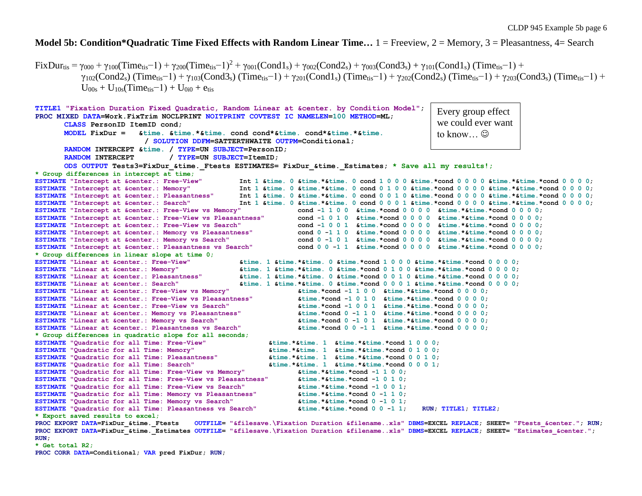## **Model 5b: Condition\*Quadratic Time Fixed Effects with Random Linear Time…** 1 = Freeview, 2 = Memory, 3 = Pleasantness, 4= Search

 $FixDuri_{is} = \gamma_{000} + \gamma_{100}(Time_{tis}-1) + \gamma_{200}(Time_{tis}-1)^2 + \gamma_{001}(Cond1_s) + \gamma_{002}(Cond2_s) + \gamma_{003}(Cond3_s) + \gamma_{101}(Cond1_s) (Time_{tis}-1) +$  $\gamma_{102}$ (Cond2s) (Time<sub>tis</sub>-1) +  $\gamma_{103}$ (Cond3s) (Time<sub>tis</sub>-1) +  $\gamma_{201}$ (Cond1s) (Time<sub>tis</sub>-1) +  $\gamma_{202}$ (Cond2s) (Time<sub>tis</sub>-1) +  $\gamma_{203}$ (Cond3s) (Time<sub>tis</sub>-1) +  $U_{00s} + U_{10s}$ (Time<sub>tis</sub>-1) + U<sub>0i0</sub> + e<sub>tis</sub>

```
TITLE1 "Fixation Duration Fixed Quadratic, Random Linear at &center. by Condition Model";
PROC MIXED DATA=Work.FixTrim NOCLPRINT NOITPRINT COVTEST IC NAMELEN=100 METHOD=ML;
      CLASS PersonID ItemID cond;
      MODEL FixDur = &time. &time.*&time. cond cond*&time. cond*&time.*&time.
                          / SOLUTION DDFM=SATTERTHWAITE OUTPM=Conditional;
      RANDOM INTERCEPT &time. / TYPE=UN SUBJECT=PersonID;
      RANDOM INTERCEPT / TYPE=UN SUBJECT=ItemID:
      ODS OUTPUT Tests3=FixDur_&time._Ftests ESTIMATES= FixDur_&time._Estimates; * Save all my results!;
* Group differences in intercept at time;
ESTIMATE "Intercept at &center.: Free-View" Int 1 &time. 0 &time.*&time. 0 cond 1 0 0 0 &time.*cond 0 0 0 0 &time.*cond 0 0 0 0 0;
ESTIMATE "Intercept at &center.: Memory" Int 1 &time. 0 &time.*&time. 0 cond 0 1 0 0 &time.*cond 0 0 0 0 &time.*cond 0 0 0 0 0;
ESTIMATE "Intercept at &center.: Pleasantness" Int 1 &time. 0 &time.*&time. 0 cond 0 0 1 0 &time.*cond 0 0 0 0 &time.*cond 0 0 0 0 0;
ESTIMATE "Intercept at &center.: Search" Int 1 &time. 0 &time.*&time. 0 cond 0 0 0 1 &time.*cond 0 0 0 0 &time.*&time.*cond 0 0 0 0 0 0
ESTIMATE "Intercept at &center.: Free-View vs Memory" cond -1 1 0 0 &time.*cond 0 0 0 0 &time.*&time.*cond 0 0 0 0;
ESTIMATE "Intercept at &center.: Free-View vs Pleasantness" cond -1 0 1 0 &time.*cond 0 0 0 0 &time.*&time.*cond 0 0 0 0;
ESTIMATE "Intercept at &center.: Free-View vs Search" cond -1 0 0 1 &time.*cond 0 0 0 0 &time.*&time.*cond 0 0 0 0;
ESTIMATE "Intercept at &center.: Memory vs Pleasantness" cond 0 -1 1 0 &time.*cond 0 0 0 0 &time.*&time.*cond 0 0 0 0;
ESTIMATE "Intercept at &center.: Memory vs Search" cond 0 -1 0 1 &time.*cond 0 0 0 0 &time.*&time.*cond 0 0 0 0;
ESTIMATE "Intercept at &center.: Pleasantness vs Search" cond 0 0 -1 1 &time.*cond 0 0 0 0 &time.*&time.*cond 0 0 0 0;
* Group differences in linear slope at time 0;
ESTIMATE "Linear at &center.: Free-View" &time. 1 &time.*&time. 0 &time.*cond 1 0 0 0 &time.*&time.*cond 0 0 0 0;
ESTIMATE "Linear at &center.: Memory" &time. 1 &time.*&time. 0 &time.*cond 0 1 0 0 &time.*&time.*cond 0 0 0 0;
ESTIMATE "Linear at &center.: Pleasantness" &time. 1 &time.*&time. 0 &time.*cond 0 0 1 0 &time.*&time.*cond 0 0 0 0;
ESTIMATE "Linear at &center.: Search" &time. 1 &time.*&time. 0 &time.*cond 0 0 0 1 &time.*&time.*cond 0 0 0 0;
ESTIMATE "Linear at &center.: Free-View vs Memory" &time.*cond -1 1 0 0 &time.*&time.*cond 0 0 0 0;
ESTIMATE "Linear at &center.: Free-View vs Pleasantness" &time.*cond -1 0 1 0 &time.*&time.*cond 0 0 0 0;
ESTIMATE "Linear at &center.: Free-View vs Search" &time.*cond -1 0 0 1 &time.*&time.*cond 0 0 0 0;
ESTIMATE "Linear at &center.: Memory vs Pleasantness" &time.*cond 0 -1 1 0 &time.*&time.*cond 0 0 0 0;
ESTIMATE "Linear at &center.: Memory vs Search" &time.*cond 0 -1 0 1 &time.*&time.*cond 0 0 0 0;
ESTIMATE "Linear at &center.: Pleasantness vs Search" &time.*cond 0 0 -1 1 &time.*&time.*cond 0 0 0 0;
* Group differences in quadratic slope for all seconds;
ESTIMATE "Quadratic for all Time: Free-View" &time.*&time. 1 &time.*&time.*cond 1 0 0 0;
ESTIMATE "Quadratic for all Time: Memory" &time.*&time. 1 &time.*&time.*cond 0 1 0 0;
ESTIMATE "Quadratic for all Time: Pleasantness" &time.*&time. 1 &time.*&time.*cond 0 0 1 0;
ESTIMATE "Quadratic for all Time: Search" &time.*&time. 1 &time.*&time.*cond 0 0 0 1;
ESTIMATE "Quadratic for all Time: Free-View vs Memory" &time.*&time.*cond -1 1 0 0;
ESTIMATE "Quadratic for all Time: Free-View vs Pleasantness" &time.*&time.*cond -1 0 1 0;
ESTIMATE "Quadratic for all Time: Free-View vs Search" &time.*&time.*cond -1 0 0 1;
ESTIMATE "Quadratic for all Time: Memory vs Pleasantness" &time.*&time.*cond 0 -1 1 0;
ESTIMATE "Quadratic for all Time: Memory vs Search" &time.*&time.*cond 0 -1 0 1;
ESTIMATE "Quadratic for all Time: Pleasantness vs Search" &time.*&time.*cond 0 0 -1 1; RUN; TITLE1; TITLE2;
* Export saved results to excel;
PROC EXPORT DATA=FixDur_&time._Ftests OUTFILE= "&filesave.\Fixation Duration &filename..xls" DBMS=EXCEL REPLACE; SHEET= "Ftests_&center."; RUN;
                                                                                            Every group effect 
                                                                                            we could ever want 
                                                                                            to know...\odot
```
**PROC EXPORT DATA=FixDur\_&time.\_Estimates OUTFILE= "&filesave.\Fixation Duration &filename..xls" DBMS=EXCEL REPLACE; SHEET= "Estimates\_&center."; RUN;**

**\* Get total R2;**

**PROC CORR DATA=Conditional; VAR pred FixDur; RUN;**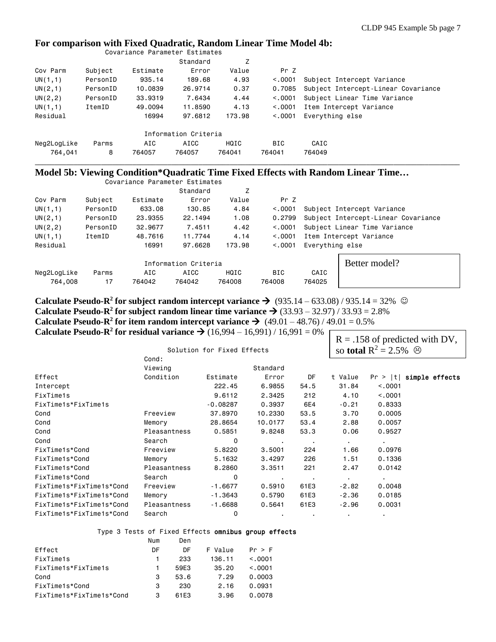### **For comparison with Fixed Quadratic, Random Linear Time Model 4b:**

|          |          | Standard | Z      |                                                        |                                     |
|----------|----------|----------|--------|--------------------------------------------------------|-------------------------------------|
| Subject  | Estimate | Error    | Value  | Pr Z                                                   |                                     |
| PersonID | 935.14   | 189.68   | 4.93   | < 0.0001                                               | Subject Intercept Variance          |
| PersonID | 10,0839  | 26,9714  | 0.37   | 0.7085                                                 | Subject Intercept-Linear Covariance |
| PersonID | 33,9319  | 7.6434   | 4.44   | < 0.0001                                               | Subject Linear Time Variance        |
| ItemID   | 49,0094  | 11,8590  | 4.13   | < 0.0001                                               | Item Intercept Variance             |
|          | 16994    | 97.6812  | 173.98 | < 0.001                                                | Everything else                     |
|          |          |          |        |                                                        |                                     |
| Parms    | AIC      | AICC     | HQIC   | <b>BIC</b>                                             | CAIC                                |
| 8        | 764057   | 764057   | 764041 | 764041                                                 | 764049                              |
|          |          |          |        | Covariance Parameter Estimates<br>Information Criteria |                                     |

## **Model 5b: Viewing Condition\*Quadratic Time Fixed Effects with Random Linear Time…**

|             |          | Covariance Parameter Estimates |                      |        |            |                                     |  |  |
|-------------|----------|--------------------------------|----------------------|--------|------------|-------------------------------------|--|--|
|             |          |                                | Standard             | Z      |            |                                     |  |  |
| Cov Parm    | Subject  | Estimate                       | Error                | Value  | Pr Z       |                                     |  |  |
| UN(1,1)     | PersonID | 633.08                         | 130.85               | 4.84   | < 0.0001   | Subject Intercept Variance          |  |  |
| UN(2,1)     | PersonID | 23,9355                        | 22.1494              | 1.08   | 0.2799     | Subject Intercept-Linear Covariance |  |  |
| UN(2, 2)    | PersonID | 32,9677                        | 7.4511               | 4.42   | < 0.001    | Subject Linear Time Variance        |  |  |
| UN(1,1)     | ItemID   | 48,7616                        | 11.7744              | 4.14   | < 0.0001   | Item Intercept Variance             |  |  |
| Residual    |          | 16991                          | 97.6628              | 173.98 | < 0.0001   | Everything else                     |  |  |
|             |          |                                | Information Criteria |        |            | Better model?                       |  |  |
| Neg2LogLike | Parms    | AIC                            | AICC                 | HQIC   | <b>BIC</b> | CAIC                                |  |  |
| 764,008     | 17       | 764042                         | 764042               | 764008 | 764008     | 764025                              |  |  |

**Calculate Pseudo-R<sup>2</sup> for subject random intercept variance**  $\rightarrow$  **(935.14 – 633.08) / 935.14 = 32%**  $\odot$ **Calculate Pseudo-R<sup>2</sup> for subject random linear time variance**  $\rightarrow$  **(33.93 – 32.97) / 33.93 = 2.8% Calculate Pseudo-R<sup>2</sup> for item random intercept variance**  $\rightarrow$  **(49.01 – 48.76) / 49.01 = 0.5% Calculate Pseudo-R<sup>2</sup> for residual variance**  $\rightarrow$  **(16,994 – 16,991) / 16,991 = 0%** 

|              |            |                | so <b>total</b> $R^2 = 2.5\%$ <sup><math>\odot</math></sup> |                |                |                                  |
|--------------|------------|----------------|-------------------------------------------------------------|----------------|----------------|----------------------------------|
| Cond:        |            |                |                                                             |                |                |                                  |
| Viewing      |            | Standard       |                                                             |                |                |                                  |
| Condition    | Estimate   | Error          | DF                                                          | t Value        |                | $Pr >  t $ simple effects        |
|              | 222.45     | 6.9855         | 54.5                                                        | 31.84          | < 0.001        |                                  |
|              | 9.6112     | 2.3425         | 212                                                         | 4.10           | < .0001        |                                  |
|              | $-0.08287$ | 0.3937         | 6E4                                                         | $-0.21$        | 0.8333         |                                  |
| Freeview     | 37,8970    | 10,2330        | 53.5                                                        | 3.70           | 0.0005         |                                  |
| Memory       | 28,8654    | 10.0177        | 53.4                                                        | 2.88           | 0.0057         |                                  |
| Pleasantness | 0.5851     | 9.8248         | 53.3                                                        | 0.06           | 0.9527         |                                  |
| Search       | 0          | $\bullet$      | . .                                                         | $\sim$         | $\blacksquare$ |                                  |
| Freeview     | 5.8220     | 3.5001         | 224                                                         | 1.66           | 0.0976         |                                  |
| Memory       | 5.1632     | 3,4297         | 226                                                         | 1.51           | 0.1336         |                                  |
| Pleasantness | 8.2860     | 3.3511         | 221                                                         | 2.47           | 0.0142         |                                  |
| Search       | 0          | $\sim$         |                                                             | $\blacksquare$ | $\blacksquare$ |                                  |
| Freeview     | $-1.6677$  | 0.5910         | 61E3                                                        | $-2.82$        | 0.0048         |                                  |
| Memory       | $-1.3643$  | 0.5790         | 61E3                                                        | $-2.36$        | 0.0185         |                                  |
| Pleasantness | $-1.6688$  | 0.5641         | 61E3                                                        | $-2.96$        | 0.0031         |                                  |
| Search       | 0          | $\blacksquare$ | $\bullet$                                                   |                | ٠.             |                                  |
|              |            |                | Solution for Fixed Effects                                  |                |                | $R = .158$ of predicted with DV, |

## Type 3 Tests of Fixed Effects omnibus group effects

|                          | Num | Den  |         |         |
|--------------------------|-----|------|---------|---------|
| Effect                   | DF  | DF   | F Value | Pr > F  |
| FixTime1s                |     | 233  | 136.11  | < 0.001 |
| FixTime1s*FixTime1s      |     | 59F3 | 35.20   | < 0.001 |
| Cond                     | 3   | 53.6 | 7.29    | 0.0003  |
| FixTime1s*Cond           | 3   | 230  | 2.16    | 0.0931  |
| FixTime1s*FixTime1s*Cond | 3   | 61F3 | 3.96    | 0.0078  |